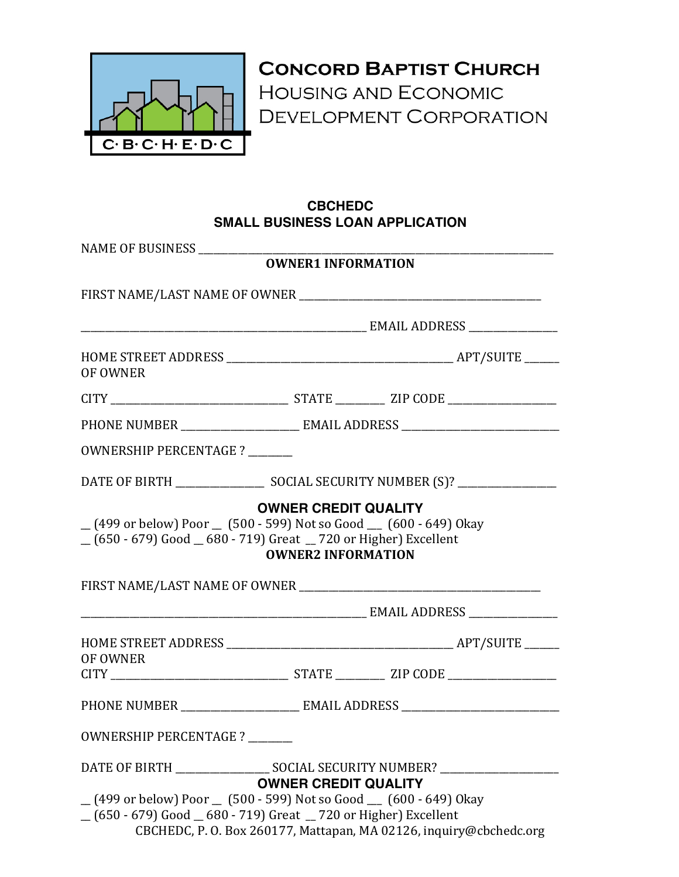

**CONCORD BAPTIST CHURCH HOUSING AND ECONOMIC** DEVELOPMENT CORPORATION

## **CBCHEDC SMALL BUSINESS LOAN APPLICATION**

| NAME OF BUSINESS              |                                                                                                                                                         |
|-------------------------------|---------------------------------------------------------------------------------------------------------------------------------------------------------|
|                               | <b>OWNER1 INFORMATION</b>                                                                                                                               |
|                               |                                                                                                                                                         |
|                               |                                                                                                                                                         |
| OF OWNER                      |                                                                                                                                                         |
|                               |                                                                                                                                                         |
|                               |                                                                                                                                                         |
| OWNERSHIP PERCENTAGE ?        |                                                                                                                                                         |
|                               |                                                                                                                                                         |
|                               | (499 or below) Poor (500 - 599) Not so Good (600 - 649) Okay<br>(650 - 679) Good 680 - 719) Great 720 or Higher) Excellent<br><b>OWNER2 INFORMATION</b> |
|                               |                                                                                                                                                         |
|                               |                                                                                                                                                         |
| OF OWNER                      |                                                                                                                                                         |
|                               |                                                                                                                                                         |
| <b>OWNERSHIP PERCENTAGE ?</b> |                                                                                                                                                         |